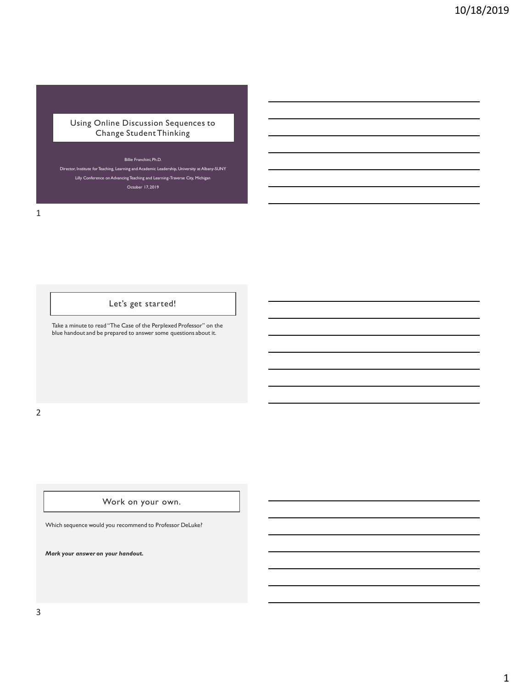Using Online Discussion Sequences to Change Student Thinking

#### Billie Franchini, Ph.D.

Director, Institute for Teaching, Learning and Academic Leadership, University at Albany-SUNY Lilly Conference on Advancing Teaching and Learning-Traverse City, Michigan October 17, 2019

1

Let's get started!

Take a minute to read "The Case of the Perplexed Professor" on the blue handout and be prepared to answer some questions about it.

2

Work on your own.

Which sequence would you recommend to Professor DeLuke?

*Mark your answer on your handout.*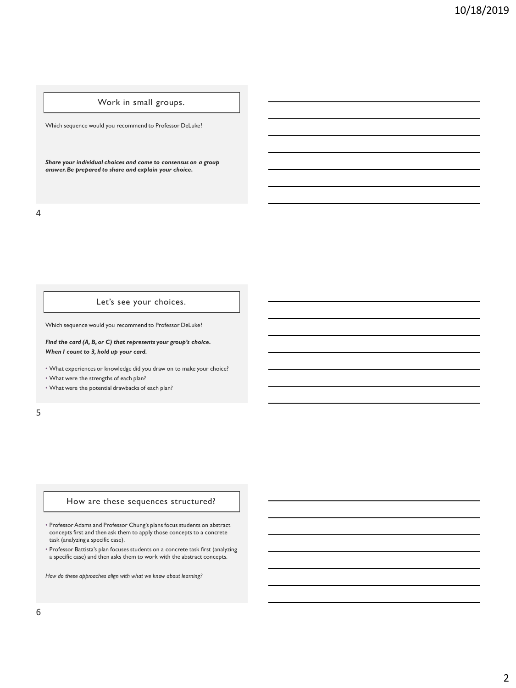# Work in small groups.

Which sequence would you recommend to Professor DeLuke?

*Share your individual choices and come to consensus on a group answer. Be prepared to share and explain your choice.*

4

### Let's see your choices.

Which sequence would you recommend to Professor DeLuke?

*Find the card (A, B, or C) that represents your group's choice. When I count to 3, hold up your card.*

• What experiences or knowledge did you draw on to make your choice?

• What were the strengths of each plan?

• What were the potential drawbacks of each plan?

5

#### How are these sequences structured?

• Professor Adams and Professor Chung's plans focus students on abstract concepts first and then ask them to apply those concepts to a concrete task (analyzing a specific case).

• Professor Battista's plan focuses students on a concrete task first (analyzing a specific case) and then asks them to work with the abstract concepts.

*How do these approaches align with what we know about learning?*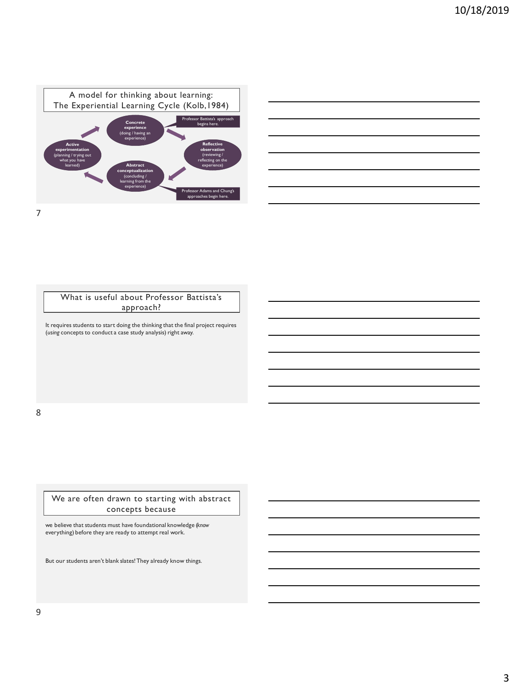

| and the control of the control of the control of the control of the control of the control of the control of the      |  |
|-----------------------------------------------------------------------------------------------------------------------|--|
|                                                                                                                       |  |
|                                                                                                                       |  |
| <u> 1989 - John Harry Harry Harry Harry Harry Harry Harry Harry Harry Harry Harry Harry Harry Harry Harry Harry H</u> |  |
| and the control of the control of the control of the control of the control of the control of the control of the      |  |
| and the contract of the contract of the contract of the contract of the contract of the contract of the contract of   |  |
|                                                                                                                       |  |
|                                                                                                                       |  |

What is useful about Professor Battista's approach?

It requires students to start doing the thinking that the final project requires (*using* concepts to conduct a case study analysis) right away.

8

We are often drawn to starting with abstract concepts because

we believe that students must have foundational knowledge (*know* everything) before they are ready to attempt real work.

But our students aren't blank slates! They already know things.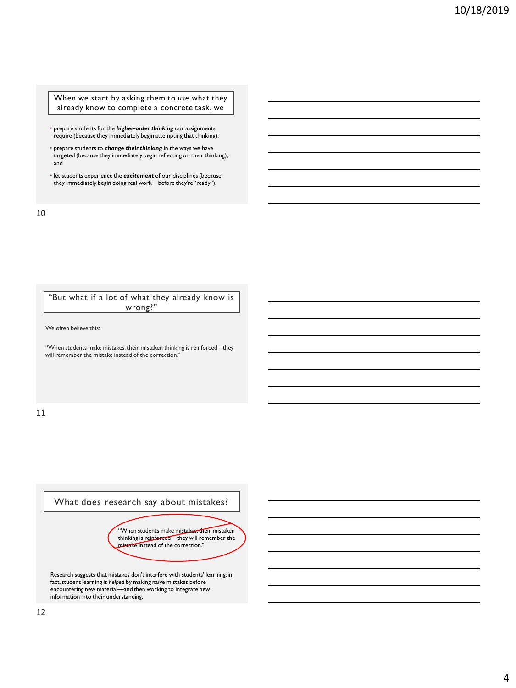When we start by asking them to *use* what they already know to complete a concrete task, we

- prepare students for the *higher-order thinking* our assignments require (because they immediately begin attempting that thinking);
- prepare students to *change their thinking* in the ways we have targeted (because they immediately begin reflecting on their thinking); and
- let students experience the *excitement* of our disciplines (because they immediately begin doing real work—before they're "ready").

10

### "But what if a lot of what they already know is wrong?"

We often believe this:

"When students make mistakes, their mistaken thinking is reinforced—they will remember the mistake instead of the correction."

11

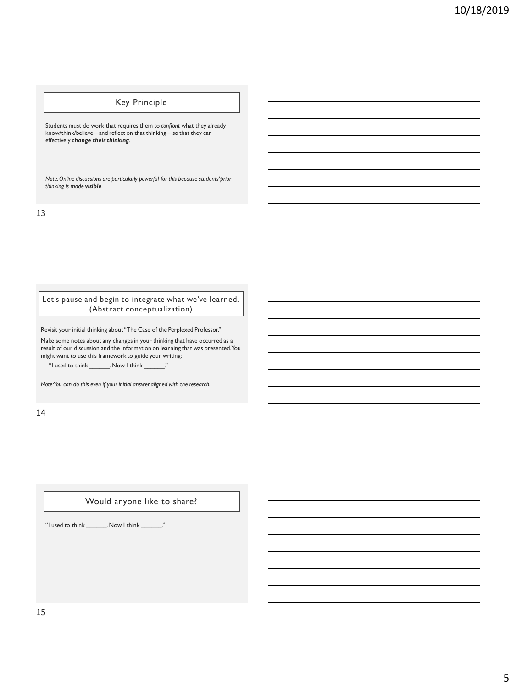# Key Principle

Students must do work that requires them to *confront* what they already know/think/believe—and reflect on that thinking—so that they can effectively *change their thinking*.

*Note: Online discussions are particularly powerful for this because students' prior thinking is made visible.*

13

Let's pause and begin to integrate what we've learned. (Abstract conceptualization)

Revisit your initial thinking about "The Case of the Perplexed Professor."

Make some notes about any changes in your thinking that have occurred as a result of our discussion and the information on learning that was presented. You might want to use this framework to guide your writing:

"I used to think \_\_\_\_\_\_\_. Now I think \_\_\_\_\_\_\_."

*Note: You can do this even if your initial answer aligned with the research.* 

14

#### Would anyone like to share?

"I used to think \_\_\_\_\_\_. Now I think \_\_\_\_\_\_."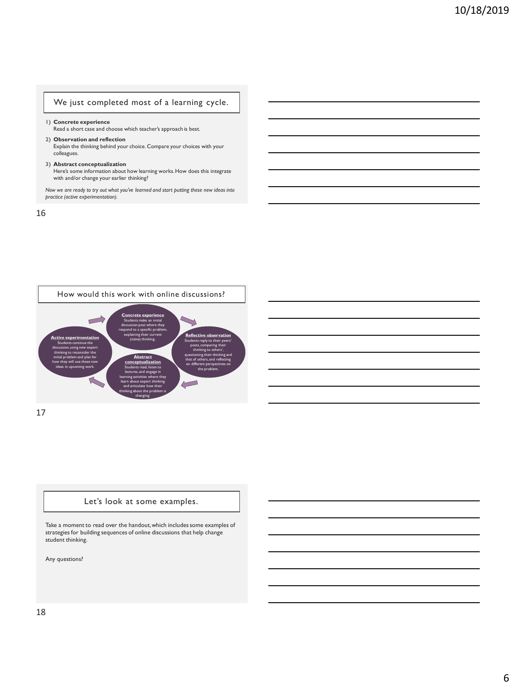### We just completed most of a learning cycle.

**1) Concrete experience** Read a short case and choose which teacher's approach is best.

**2) Observation and reflection** Explain the thinking behind your choice. Compare your choices with your colleagues.

**3) Abstract conceptualization**

Here's some information about how learning works. How does this integrate with and/or change your earlier thinking?

*Now we are ready to try out what you've learned and start putting these new ideas into practice (active experimentation).*

16



17

#### Let's look at some examples.

Take a moment to read over the handout, which includes some examples of strategies for building sequences of online discussions that help change student thinking.

Any questions?